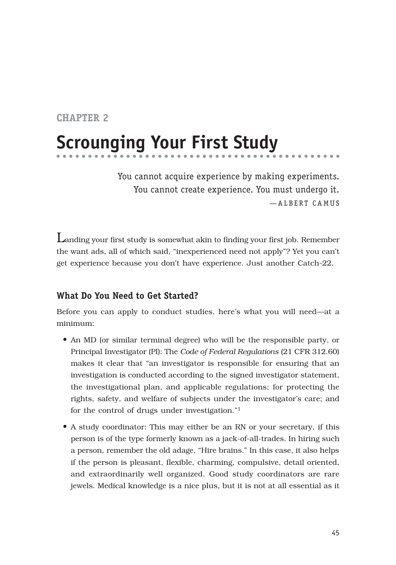# **Chapter 2**

# **Scrounging Your First Study**

You cannot acquire experience by making experiments. You cannot create experience. You must undergo it.  $-ALBERT$  CAMUS

Landing your first study is somewhat akin to finding your first job. Remember the want ads, all of which said, "inexperienced need not apply"? Yet you can't get experience because you don't have experience. Just another Catch-22.

# **What Do You Need to Get Started?**

Before you can apply to conduct studies, here's what you will need—at a minimum:

- • An MD (or similar terminal degree) who will be the responsible party, or Principal Investigator (PI): The *Code of Federal Regulations* (21 CFR 312.60) makes it clear that "an investigator is responsible for ensuring that an investigation is conducted according to the signed investigator statement, the investigational plan, and applicable regulations; for protecting the rights, safety, and welfare of subjects under the investigator's care; and for the control of drugs under investigation."1
- • A study coordinator: This may either be an RN or your secretary, if this person is of the type formerly known as a jack-of-all-trades. In hiring such a person, remember the old adage, "Hire brains." In this case, it also helps if the person is pleasant, flexible, charming, compulsive, detail oriented, and extraordinarily well organized. Good study coordinators are rare jewels. Medical knowledge is a nice plus, but it is not at all essential as it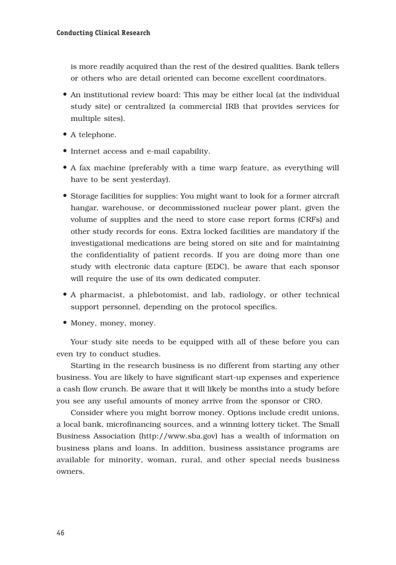is more readily acquired than the rest of the desired qualities. Bank tellers or others who are detail oriented can become excellent coordinators.

- An institutional review board: This may be either local (at the individual study site) or centralized (a commercial IRB that provides services for multiple sites).
- A telephone.
- • Internet access and e-mail capability.
- A fax machine (preferably with a time warp feature, as everything will have to be sent yesterday).
- • Storage facilities for supplies: You might want to look for a former aircraft hangar, warehouse, or decommissioned nuclear power plant, given the volume of supplies and the need to store case report forms (CRFs) and other study records for eons. Extra locked facilities are mandatory if the investigational medications are being stored on site and for maintaining the confidentiality of patient records. If you are doing more than one study with electronic data capture (EDC), be aware that each sponsor will require the use of its own dedicated computer.
- • A pharmacist, a phlebotomist, and lab, radiology, or other technical support personnel, depending on the protocol specifics.
- Money, money, money.

Your study site needs to be equipped with all of these before you can even try to conduct studies.

Starting in the research business is no different from starting any other business. You are likely to have significant start-up expenses and experience a cash flow crunch. Be aware that it will likely be months into a study before you see any useful amounts of money arrive from the sponsor or CRO.

Consider where you might borrow money. Options include credit unions, a local bank, microfinancing sources, and a winning lottery ticket. The Small Business Association (http://www.sba.gov) has a wealth of information on business plans and loans. In addition, business assistance programs are available for minority, woman, rural, and other special needs business owners.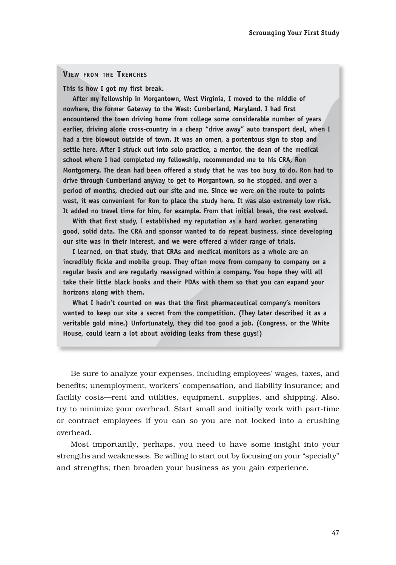## **View from the Trenches**

**This is how I got my first break.**

**After my fellowship in Morgantown, West Virginia, I moved to the middle of nowhere, the former Gateway to the West: Cumberland, Maryland. I had first encountered the town driving home from college some considerable number of years earlier, driving alone cross-country in a cheap "drive away" auto transport deal, when I had a tire blowout outside of town. It was an omen, a portentous sign to stop and settle here. After I struck out into solo practice, a mentor, the dean of the medical school where I had completed my fellowship, recommended me to his CRA, Ron Montgomery. The dean had been offered a study that he was too busy to do. Ron had to drive through Cumberland anyway to get to Morgantown, so he stopped, and over a period of months, checked out our site and me. Since we were on the route to points west, it was convenient for Ron to place the study here. It was also extremely low risk. It added no travel time for him, for example. From that initial break, the rest evolved.**

**With that first study, I established my reputation as a hard worker, generating good, solid data. The CRA and sponsor wanted to do repeat business, since developing our site was in their interest, and we were offered a wider range of trials.**

**I learned, on that study, that CRAs and medical monitors as a whole are an incredibly fickle and mobile group. They often move from company to company on a regular basis and are regularly reassigned within a company. You hope they will all take their little black books and their PDAs with them so that you can expand your horizons along with them.**

**What I hadn't counted on was that the first pharmaceutical company's monitors wanted to keep our site a secret from the competition. (They later described it as a veritable gold mine.) Unfortunately, they did too good a job. (Congress, or the White House, could learn a lot about avoiding leaks from these guys!)**

Be sure to analyze your expenses, including employees' wages, taxes, and benefits; unemployment, workers' compensation, and liability insurance; and facility costs—rent and utilities, equipment, supplies, and shipping. Also, try to minimize your overhead. Start small and initially work with part-time or contract employees if you can so you are not locked into a crushing overhead.

Most importantly, perhaps, you need to have some insight into your strengths and weaknesses. Be willing to start out by focusing on your "specialty" and strengths; then broaden your business as you gain experience.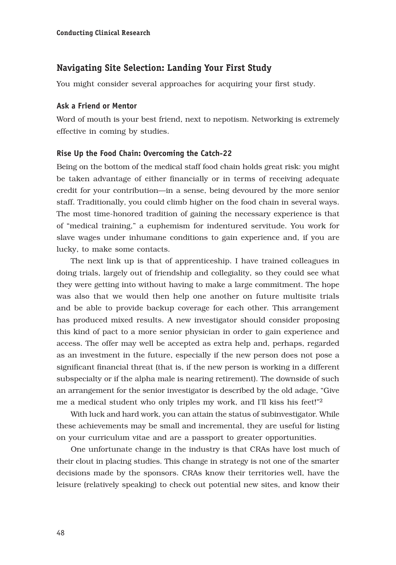# **Navigating Site Selection: Landing Your First Study**

You might consider several approaches for acquiring your first study.

#### **Ask a Friend or Mentor**

Word of mouth is your best friend, next to nepotism. Networking is extremely effective in coming by studies.

## **Rise Up the Food Chain: Overcoming the Catch-22**

Being on the bottom of the medical staff food chain holds great risk: you might be taken advantage of either financially or in terms of receiving adequate credit for your contribution—in a sense, being devoured by the more senior staff. Traditionally, you could climb higher on the food chain in several ways. The most time-honored tradition of gaining the necessary experience is that of "medical training," a euphemism for indentured servitude. You work for slave wages under inhumane conditions to gain experience and, if you are lucky, to make some contacts.

The next link up is that of apprenticeship. I have trained colleagues in doing trials, largely out of friendship and collegiality, so they could see what they were getting into without having to make a large commitment. The hope was also that we would then help one another on future multisite trials and be able to provide backup coverage for each other. This arrangement has produced mixed results. A new investigator should consider proposing this kind of pact to a more senior physician in order to gain experience and access. The offer may well be accepted as extra help and, perhaps, regarded as an investment in the future, especially if the new person does not pose a significant financial threat (that is, if the new person is working in a different subspecialty or if the alpha male is nearing retirement). The downside of such an arrangement for the senior investigator is described by the old adage, "Give me a medical student who only triples my work, and I'll kiss his feet!"2

With luck and hard work, you can attain the status of subinvestigator. While these achievements may be small and incremental, they are useful for listing on your curriculum vitae and are a passport to greater opportunities.

One unfortunate change in the industry is that CRAs have lost much of their clout in placing studies. This change in strategy is not one of the smarter decisions made by the sponsors. CRAs know their territories well, have the leisure (relatively speaking) to check out potential new sites, and know their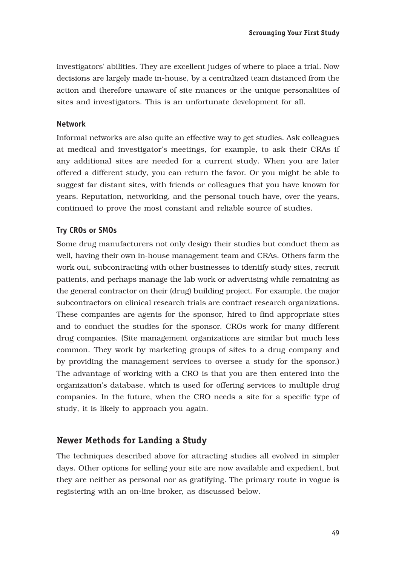investigators' abilities. They are excellent judges of where to place a trial. Now decisions are largely made in-house, by a centralized team distanced from the action and therefore unaware of site nuances or the unique personalities of sites and investigators. This is an unfortunate development for all.

#### **Network**

Informal networks are also quite an effective way to get studies. Ask colleagues at medical and investigator's meetings, for example, to ask their CRAs if any additional sites are needed for a current study. When you are later offered a different study, you can return the favor. Or you might be able to suggest far distant sites, with friends or colleagues that you have known for years. Reputation, networking, and the personal touch have, over the years, continued to prove the most constant and reliable source of studies.

## **Try CROs or SMOs**

Some drug manufacturers not only design their studies but conduct them as well, having their own in-house management team and CRAs. Others farm the work out, subcontracting with other businesses to identify study sites, recruit patients, and perhaps manage the lab work or advertising while remaining as the general contractor on their (drug) building project. For example, the major subcontractors on clinical research trials are contract research organizations. These companies are agents for the sponsor, hired to find appropriate sites and to conduct the studies for the sponsor. CROs work for many different drug companies. (Site management organizations are similar but much less common. They work by marketing groups of sites to a drug company and by providing the management services to oversee a study for the sponsor.) The advantage of working with a CRO is that you are then entered into the organization's database, which is used for offering services to multiple drug companies. In the future, when the CRO needs a site for a specific type of study, it is likely to approach you again.

# **Newer Methods for Landing a Study**

The techniques described above for attracting studies all evolved in simpler days. Other options for selling your site are now available and expedient, but they are neither as personal nor as gratifying. The primary route in vogue is registering with an on-line broker, as discussed below.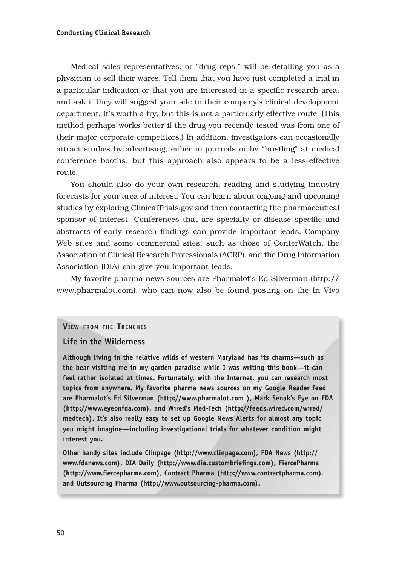Medical sales representatives, or "drug reps," will be detailing you as a physician to sell their wares. Tell them that you have just completed a trial in a particular indication or that you are interested in a specific research area, and ask if they will suggest your site to their company's clinical development department. It's worth a try, but this is not a particularly effective route. (This method perhaps works better if the drug you recently tested was from one of their major corporate competitors.) In addition, investigators can occasionally attract studies by advertising, either in journals or by "hustling" at medical conference booths, but this approach also appears to be a less-effective route.

You should also do your own research, reading and studying industry forecasts for your area of interest. You can learn about ongoing and upcoming studies by exploring ClinicalTrials.gov and then contacting the pharmaceutical sponsor of interest. Conferences that are specialty or disease specific and abstracts of early research findings can provide important leads. Company Web sites and some commercial sites, such as those of CenterWatch, the Association of Clinical Research Professionals (ACRP), and the Drug Information Association (DIA) can give you important leads.

My favorite pharma news sources are Pharmalot's Ed Silverman (http:// www.pharmalot.com), who can now also be found posting on the In Vivo

## **View from the Trenches**

## **Life in the Wilderness**

**Although living in the relative wilds of western Maryland has its charms—such as the bear visiting me in my garden paradise while I was writing this book—it can feel rather isolated at times. Fortunately, with the Internet, you can research most topics from anywhere. My favorite pharma news sources on my Google Reader feed are Pharmalot's Ed Silverman (http://www.pharmalot.com ), Mark Senak's Eye on FDA (http://www.eyeonfda.com), and Wired's Med-Tech (http://feeds.wired.com/wired/ medtech). It's also really easy to set up Google News Alerts for almost any topic you might imagine—including investigational trials for whatever condition might interest you.** 

**Other handy sites include Clinpage (http://www.clinpage.com), FDA News (http:// www.fdanews.com), DIA Daily (http://www.dia.custombriefings.com), FiercePharma (http://www.fiercepharma.com), Contract Pharma (http://www.contractpharma.com), and Outsourcing Pharma (http://www.outsourcing-pharma.com).**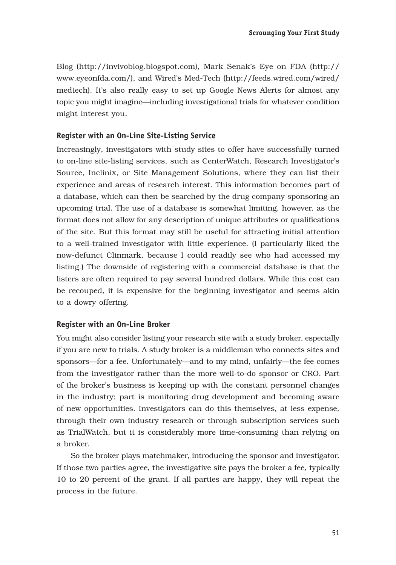Blog (http://invivoblog.blogspot.com), Mark Senak's Eye on FDA (http:// www.eyeonfda.com/), and Wired's Med-Tech (http://feeds.wired.com/wired/ medtech). It's also really easy to set up Google News Alerts for almost any topic you might imagine—including investigational trials for whatever condition might interest you.

## **Register with an On-Line Site-Listing Service**

Increasingly, investigators with study sites to offer have successfully turned to on-line site-listing services, such as CenterWatch, Research Investigator's Source, Inclinix, or Site Management Solutions, where they can list their experience and areas of research interest. This information becomes part of a database, which can then be searched by the drug company sponsoring an upcoming trial. The use of a database is somewhat limiting, however, as the format does not allow for any description of unique attributes or qualifications of the site. But this format may still be useful for attracting initial attention to a well-trained investigator with little experience. (I particularly liked the now-defunct Clinmark, because I could readily see who had accessed my listing.) The downside of registering with a commercial database is that the listers are often required to pay several hundred dollars. While this cost can be recouped, it is expensive for the beginning investigator and seems akin to a dowry offering.

#### **Register with an On-Line Broker**

You might also consider listing your research site with a study broker, especially if you are new to trials. A study broker is a middleman who connects sites and sponsors—for a fee. Unfortunately—and to my mind, unfairly—the fee comes from the investigator rather than the more well-to-do sponsor or CRO. Part of the broker's business is keeping up with the constant personnel changes in the industry; part is monitoring drug development and becoming aware of new opportunities. Investigators can do this themselves, at less expense, through their own industry research or through subscription services such as TrialWatch, but it is considerably more time-consuming than relying on a broker.

So the broker plays matchmaker, introducing the sponsor and investigator. If those two parties agree, the investigative site pays the broker a fee, typically 10 to 20 percent of the grant. If all parties are happy, they will repeat the process in the future.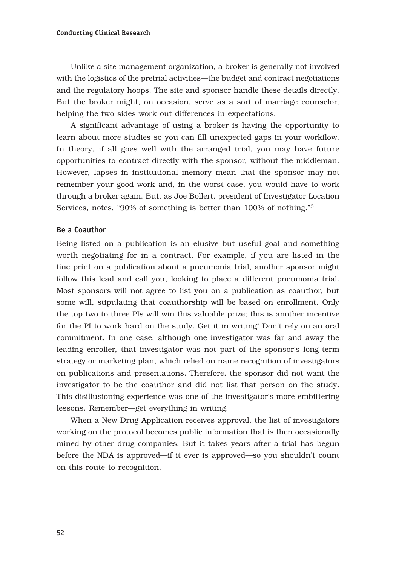Unlike a site management organization, a broker is generally not involved with the logistics of the pretrial activities—the budget and contract negotiations and the regulatory hoops. The site and sponsor handle these details directly. But the broker might, on occasion, serve as a sort of marriage counselor, helping the two sides work out differences in expectations.

A significant advantage of using a broker is having the opportunity to learn about more studies so you can fill unexpected gaps in your workflow. In theory, if all goes well with the arranged trial, you may have future opportunities to contract directly with the sponsor, without the middleman. However, lapses in institutional memory mean that the sponsor may not remember your good work and, in the worst case, you would have to work through a broker again. But, as Joe Bollert, president of Investigator Location Services, notes, "90% of something is better than 100% of nothing."3

## **Be a Coauthor**

Being listed on a publication is an elusive but useful goal and something worth negotiating for in a contract. For example, if you are listed in the fine print on a publication about a pneumonia trial, another sponsor might follow this lead and call you, looking to place a different pneumonia trial. Most sponsors will not agree to list you on a publication as coauthor, but some will, stipulating that coauthorship will be based on enrollment. Only the top two to three PIs will win this valuable prize; this is another incentive for the PI to work hard on the study. Get it in writing! Don't rely on an oral commitment. In one case, although one investigator was far and away the leading enroller, that investigator was not part of the sponsor's long-term strategy or marketing plan, which relied on name recognition of investigators on publications and presentations. Therefore, the sponsor did not want the investigator to be the coauthor and did not list that person on the study. This disillusioning experience was one of the investigator's more embittering lessons. Remember—get everything in writing.

When a New Drug Application receives approval, the list of investigators working on the protocol becomes public information that is then occasionally mined by other drug companies. But it takes years after a trial has begun before the NDA is approved—if it ever is approved—so you shouldn't count on this route to recognition.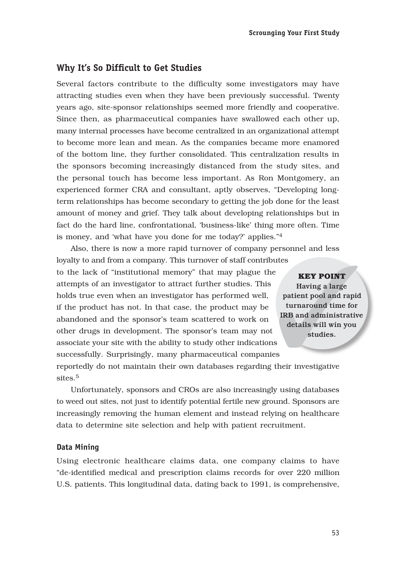## **Why It's So Difficult to Get Studies**

Several factors contribute to the difficulty some investigators may have attracting studies even when they have been previously successful. Twenty years ago, site-sponsor relationships seemed more friendly and cooperative. Since then, as pharmaceutical companies have swallowed each other up, many internal processes have become centralized in an organizational attempt to become more lean and mean. As the companies became more enamored of the bottom line, they further consolidated. This centralization results in the sponsors becoming increasingly distanced from the study sites, and the personal touch has become less important. As Ron Montgomery, an experienced former CRA and consultant, aptly observes, "Developing longterm relationships has become secondary to getting the job done for the least amount of money and grief. They talk about developing relationships but in fact do the hard line, confrontational, 'business-like' thing more often. Time is money, and 'what have you done for me today?' applies."4

Also, there is now a more rapid turnover of company personnel and less loyalty to and from a company. This turnover of staff contributes

to the lack of "institutional memory" that may plague the attempts of an investigator to attract further studies. This holds true even when an investigator has performed well, if the product has not. In that case, the product may be abandoned and the sponsor's team scattered to work on other drugs in development. The sponsor's team may not associate your site with the ability to study other indications successfully. Surprisingly, many pharmaceutical companies

**KEY POINT** Having a large patient pool and rapid turnaround time for IRB and administrative details will win you studies.

reportedly do not maintain their own databases regarding their investigative sites.<sup>5</sup>

Unfortunately, sponsors and CROs are also increasingly using databases to weed out sites, not just to identify potential fertile new ground. Sponsors are increasingly removing the human element and instead relying on healthcare data to determine site selection and help with patient recruitment.

#### **Data Mining**

Using electronic healthcare claims data, one company claims to have "de-identified medical and prescription claims records for over 220 million U.S. patients. This longitudinal data, dating back to 1991, is comprehensive,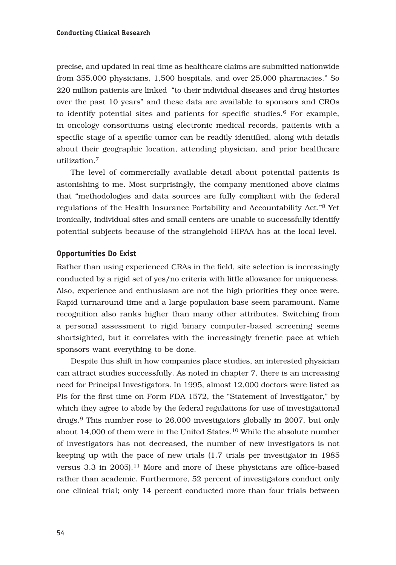precise, and updated in real time as healthcare claims are submitted nationwide from 355,000 physicians, 1,500 hospitals, and over 25,000 pharmacies." So 220 million patients are linked "to their individual diseases and drug histories over the past 10 years" and these data are available to sponsors and CROs to identify potential sites and patients for specific studies. $6$  For example, in oncology consortiums using electronic medical records, patients with a specific stage of a specific tumor can be readily identified, along with details about their geographic location, attending physician, and prior healthcare utilization.7

The level of commercially available detail about potential patients is astonishing to me. Most surprisingly, the company mentioned above claims that "methodologies and data sources are fully compliant with the federal regulations of the Health Insurance Portability and Accountability Act."8 Yet ironically, individual sites and small centers are unable to successfully identify potential subjects because of the stranglehold HIPAA has at the local level.

#### **Opportunities Do Exist**

Rather than using experienced CRAs in the field, site selection is increasingly conducted by a rigid set of yes/no criteria with little allowance for uniqueness. Also, experience and enthusiasm are not the high priorities they once were. Rapid turnaround time and a large population base seem paramount. Name recognition also ranks higher than many other attributes. Switching from a personal assessment to rigid binary computer-based screening seems shortsighted, but it correlates with the increasingly frenetic pace at which sponsors want everything to be done.

Despite this shift in how companies place studies, an interested physician can attract studies successfully. As noted in chapter 7, there is an increasing need for Principal Investigators. In 1995, almost 12,000 doctors were listed as PIs for the first time on Form FDA 1572, the "Statement of Investigator," by which they agree to abide by the federal regulations for use of investigational drugs.9 This number rose to 26,000 investigators globally in 2007, but only about 14,000 of them were in the United States.10 While the absolute number of investigators has not decreased, the number of new investigators is not keeping up with the pace of new trials (1.7 trials per investigator in 1985 versus 3.3 in 2005).11 More and more of these physicians are office-based rather than academic. Furthermore, 52 percent of investigators conduct only one clinical trial; only 14 percent conducted more than four trials between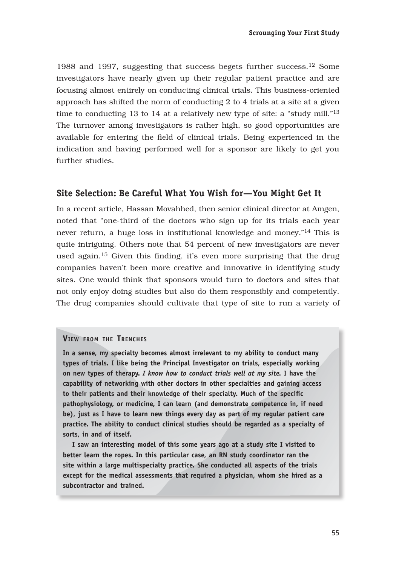1988 and 1997, suggesting that success begets further success.12 Some investigators have nearly given up their regular patient practice and are focusing almost entirely on conducting clinical trials. This business-oriented approach has shifted the norm of conducting 2 to 4 trials at a site at a given time to conducting 13 to 14 at a relatively new type of site: a "study mill."<sup>13</sup> The turnover among investigators is rather high, so good opportunities are available for entering the field of clinical trials. Being experienced in the indication and having performed well for a sponsor are likely to get you further studies.

## **Site Selection: Be Careful What You Wish for—You Might Get It**

In a recent article, Hassan Movahhed, then senior clinical director at Amgen, noted that "one-third of the doctors who sign up for its trials each year never return, a huge loss in institutional knowledge and money."14 This is quite intriguing. Others note that 54 percent of new investigators are never used again.15 Given this finding, it's even more surprising that the drug companies haven't been more creative and innovative in identifying study sites. One would think that sponsors would turn to doctors and sites that not only enjoy doing studies but also do them responsibly and competently. The drug companies should cultivate that type of site to run a variety of

## **View from the Trenches**

**In a sense, my specialty becomes almost irrelevant to my ability to conduct many types of trials. I like being the Principal Investigator on trials, especially working on new types of therapy.** *I know how to conduct trials well at my site.* **I have the capability of networking with other doctors in other specialties and gaining access to their patients and their knowledge of their specialty. Much of the specific pathophysiology, or medicine, I can learn (and demonstrate competence in, if need be), just as I have to learn new things every day as part of my regular patient care practice. The ability to conduct clinical studies should be regarded as a specialty of sorts, in and of itself.**

**I saw an interesting model of this some years ago at a study site I visited to better learn the ropes. In this particular case, an RN study coordinator ran the site within a large multispecialty practice. She conducted all aspects of the trials except for the medical assessments that required a physician, whom she hired as a subcontractor and trained.**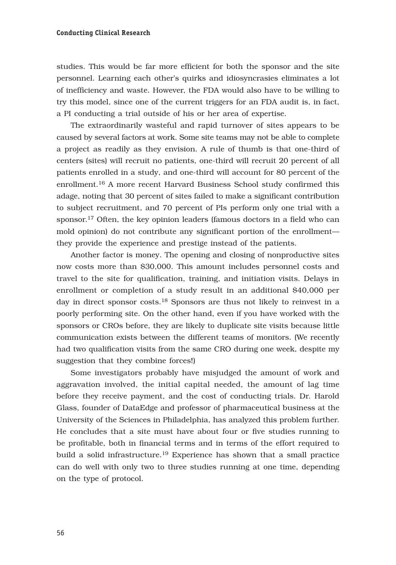studies. This would be far more efficient for both the sponsor and the site personnel. Learning each other's quirks and idiosyncrasies eliminates a lot of inefficiency and waste. However, the FDA would also have to be willing to try this model, since one of the current triggers for an FDA audit is, in fact, a PI conducting a trial outside of his or her area of expertise.

The extraordinarily wasteful and rapid turnover of sites appears to be caused by several factors at work. Some site teams may not be able to complete a project as readily as they envision. A rule of thumb is that one-third of centers (sites) will recruit no patients, one-third will recruit 20 percent of all patients enrolled in a study, and one-third will account for 80 percent of the enrollment.16 A more recent Harvard Business School study confirmed this adage, noting that 30 percent of sites failed to make a significant contribution to subject recruitment, and 70 percent of PIs perform only one trial with a sponsor.<sup>17</sup> Often, the key opinion leaders (famous doctors in a field who can mold opinion) do not contribute any significant portion of the enrollment they provide the experience and prestige instead of the patients.

Another factor is money. The opening and closing of nonproductive sites now costs more than \$30,000. This amount includes personnel costs and travel to the site for qualification, training, and initiation visits. Delays in enrollment or completion of a study result in an additional \$40,000 per day in direct sponsor costs.18 Sponsors are thus not likely to reinvest in a poorly performing site. On the other hand, even if you have worked with the sponsors or CROs before, they are likely to duplicate site visits because little communication exists between the different teams of monitors. (We recently had two qualification visits from the same CRO during one week, despite my suggestion that they combine forces!)

Some investigators probably have misjudged the amount of work and aggravation involved, the initial capital needed, the amount of lag time before they receive payment, and the cost of conducting trials. Dr. Harold Glass, founder of DataEdge and professor of pharmaceutical business at the University of the Sciences in Philadelphia, has analyzed this problem further. He concludes that a site must have about four or five studies running to be profitable, both in financial terms and in terms of the effort required to build a solid infrastructure.19 Experience has shown that a small practice can do well with only two to three studies running at one time, depending on the type of protocol.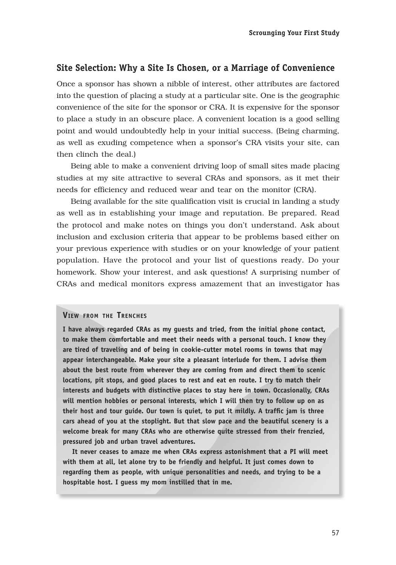# **Site Selection: Why a Site Is Chosen, or a Marriage of Convenience**

Once a sponsor has shown a nibble of interest, other attributes are factored into the question of placing a study at a particular site. One is the geographic convenience of the site for the sponsor or CRA. It is expensive for the sponsor to place a study in an obscure place. A convenient location is a good selling point and would undoubtedly help in your initial success. (Being charming, as well as exuding competence when a sponsor's CRA visits your site, can then clinch the deal.)

Being able to make a convenient driving loop of small sites made placing studies at my site attractive to several CRAs and sponsors, as it met their needs for efficiency and reduced wear and tear on the monitor (CRA).

Being available for the site qualification visit is crucial in landing a study as well as in establishing your image and reputation. Be prepared. Read the protocol and make notes on things you don't understand. Ask about inclusion and exclusion criteria that appear to be problems based either on your previous experience with studies or on your knowledge of your patient population. Have the protocol and your list of questions ready. Do your homework. Show your interest, and ask questions! A surprising number of CRAs and medical monitors express amazement that an investigator has

## **View from the Trenches**

**I have always regarded CRAs as my guests and tried, from the initial phone contact, to make them comfortable and meet their needs with a personal touch. I know they are tired of traveling and of being in cookie-cutter motel rooms in towns that may appear interchangeable. Make your site a pleasant interlude for them. I advise them about the best route from wherever they are coming from and direct them to scenic locations, pit stops, and good places to rest and eat en route. I try to match their interests and budgets with distinctive places to stay here in town. Occasionally, CRAs will mention hobbies or personal interests, which I will then try to follow up on as their host and tour guide. Our town is quiet, to put it mildly. A traffic jam is three cars ahead of you at the stoplight. But that slow pace and the beautiful scenery is a welcome break for many CRAs who are otherwise quite stressed from their frenzied, pressured job and urban travel adventures.**

**It never ceases to amaze me when CRAs express astonishment that a PI will meet with them at all, let alone try to be friendly and helpful. It just comes down to regarding them as people, with unique personalities and needs, and trying to be a hospitable host. I guess my mom instilled that in me.**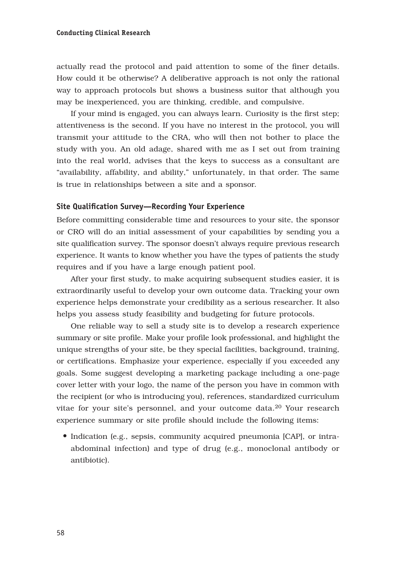actually read the protocol and paid attention to some of the finer details. How could it be otherwise? A deliberative approach is not only the rational way to approach protocols but shows a business suitor that although you may be inexperienced, you are thinking, credible, and compulsive.

If your mind is engaged, you can always learn. Curiosity is the first step; attentiveness is the second. If you have no interest in the protocol, you will transmit your attitude to the CRA, who will then not bother to place the study with you. An old adage, shared with me as I set out from training into the real world, advises that the keys to success as a consultant are "availability, affability, and ability," unfortunately, in that order. The same is true in relationships between a site and a sponsor.

### **Site Qualification Survey—Recording Your Experience**

Before committing considerable time and resources to your site, the sponsor or CRO will do an initial assessment of your capabilities by sending you a site qualification survey. The sponsor doesn't always require previous research experience. It wants to know whether you have the types of patients the study requires and if you have a large enough patient pool.

After your first study, to make acquiring subsequent studies easier, it is extraordinarily useful to develop your own outcome data. Tracking your own experience helps demonstrate your credibility as a serious researcher. It also helps you assess study feasibility and budgeting for future protocols.

One reliable way to sell a study site is to develop a research experience summary or site profile. Make your profile look professional, and highlight the unique strengths of your site, be they special facilities, background, training, or certifications. Emphasize your experience, especially if you exceeded any goals. Some suggest developing a marketing package including a one-page cover letter with your logo, the name of the person you have in common with the recipient (or who is introducing you), references, standardized curriculum vitae for your site's personnel, and your outcome data.<sup>20</sup> Your research experience summary or site profile should include the following items:

• Indication (e.g., sepsis, community acquired pneumonia [CAP], or intraabdominal infection) and type of drug (e.g., monoclonal antibody or antibiotic).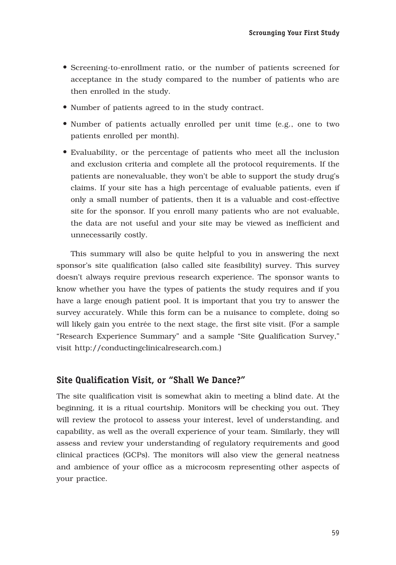- • Screening-to-enrollment ratio, or the number of patients screened for acceptance in the study compared to the number of patients who are then enrolled in the study.
- Number of patients agreed to in the study contract.
- Number of patients actually enrolled per unit time (e.g., one to two patients enrolled per month).
- Evaluability, or the percentage of patients who meet all the inclusion and exclusion criteria and complete all the protocol requirements. If the patients are nonevaluable, they won't be able to support the study drug's claims. If your site has a high percentage of evaluable patients, even if only a small number of patients, then it is a valuable and cost-effective site for the sponsor. If you enroll many patients who are not evaluable, the data are not useful and your site may be viewed as inefficient and unnecessarily costly.

This summary will also be quite helpful to you in answering the next sponsor's site qualification (also called site feasibility) survey. This survey doesn't always require previous research experience. The sponsor wants to know whether you have the types of patients the study requires and if you have a large enough patient pool. It is important that you try to answer the survey accurately. While this form can be a nuisance to complete, doing so will likely gain you entrée to the next stage, the first site visit. (For a sample "Research Experience Summary" and a sample "Site Qualification Survey," visit http://conductingclinicalresearch.com.)

# **Site Qualification Visit, or "Shall We Dance?"**

The site qualification visit is somewhat akin to meeting a blind date. At the beginning, it is a ritual courtship. Monitors will be checking you out. They will review the protocol to assess your interest, level of understanding, and capability, as well as the overall experience of your team. Similarly, they will assess and review your understanding of regulatory requirements and good clinical practices (GCPs). The monitors will also view the general neatness and ambience of your office as a microcosm representing other aspects of your practice.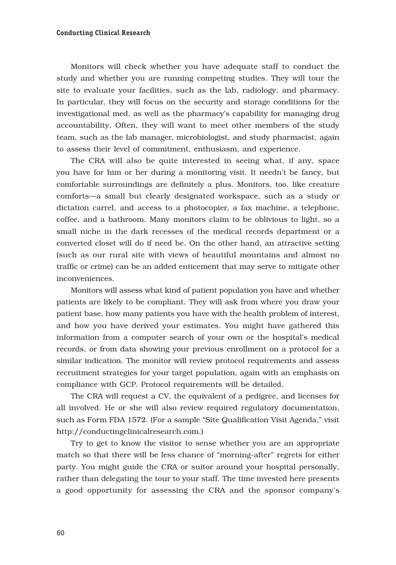Monitors will check whether you have adequate staff to conduct the study and whether you are running competing studies. They will tour the site to evaluate your facilities, such as the lab, radiology, and pharmacy. In particular, they will focus on the security and storage conditions for the investigational med, as well as the pharmacy's capability for managing drug accountability. Often, they will want to meet other members of the study team, such as the lab manager, microbiologist, and study pharmacist, again to assess their level of commitment, enthusiasm, and experience.

The CRA will also be quite interested in seeing what, if any, space you have for him or her during a monitoring visit. It needn't be fancy, but comfortable surroundings are definitely a plus. Monitors, too, like creature comforts—a small but clearly designated workspace, such as a study or dictation carrel, and access to a photocopier, a fax machine, a telephone, coffee, and a bathroom. Many monitors claim to be oblivious to light, so a small niche in the dark recesses of the medical records department or a converted closet will do if need be. On the other hand, an attractive setting (such as our rural site with views of beautiful mountains and almost no traffic or crime) can be an added enticement that may serve to mitigate other inconveniences.

Monitors will assess what kind of patient population you have and whether patients are likely to be compliant. They will ask from where you draw your patient base, how many patients you have with the health problem of interest, and how you have derived your estimates. You might have gathered this information from a computer search of your own or the hospital's medical records, or from data showing your previous enrollment on a protocol for a similar indication. The monitor will review protocol requirements and assess recruitment strategies for your target population, again with an emphasis on compliance with GCP. Protocol requirements will be detailed.

The CRA will request a CV, the equivalent of a pedigree, and licenses for all involved. He or she will also review required regulatory documentation, such as Form FDA 1572. (For a sample "Site Qualification Visit Agenda," visit http://conductingclinicalresearch.com.)

Try to get to know the visitor to sense whether you are an appropriate match so that there will be less chance of "morning-after" regrets for either party. You might guide the CRA or suitor around your hospital personally, rather than delegating the tour to your staff. The time invested here presents a good opportunity for assessing the CRA and the sponsor company's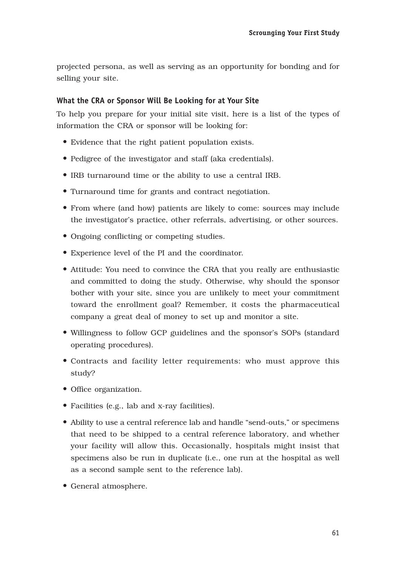projected persona, as well as serving as an opportunity for bonding and for selling your site.

#### **What the CRA or Sponsor Will Be Looking for at Your Site**

To help you prepare for your initial site visit, here is a list of the types of information the CRA or sponsor will be looking for:

- • Evidence that the right patient population exists.
- • Pedigree of the investigator and staff (aka credentials).
- IRB turnaround time or the ability to use a central IRB.
- • Turnaround time for grants and contract negotiation.
- • From where (and how) patients are likely to come: sources may include the investigator's practice, other referrals, advertising, or other sources.
- • Ongoing conflicting or competing studies.
- • Experience level of the PI and the coordinator.
- Attitude: You need to convince the CRA that you really are enthusiastic and committed to doing the study. Otherwise, why should the sponsor bother with your site, since you are unlikely to meet your commitment toward the enrollment goal? Remember, it costs the pharmaceutical company a great deal of money to set up and monitor a site.
- • Willingness to follow GCP guidelines and the sponsor's SOPs (standard operating procedures).
- Contracts and facility letter requirements: who must approve this study?
- • Office organization.
- • Facilities (e.g., lab and x-ray facilities).
- • Ability to use a central reference lab and handle "send-outs," or specimens that need to be shipped to a central reference laboratory, and whether your facility will allow this. Occasionally, hospitals might insist that specimens also be run in duplicate (i.e., one run at the hospital as well as a second sample sent to the reference lab).
- • General atmosphere.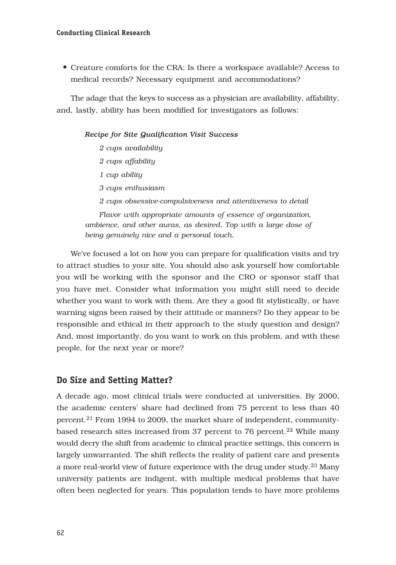• Creature comforts for the CRA: Is there a workspace available? Access to medical records? Necessary equipment and accommodations?

The adage that the keys to success as a physician are availability, affability, and, lastly, ability has been modified for investigators as follows:

#### *Recipe for Site Qualification Visit Success*

*2 cups availability 2 cups affability 1 cup ability 3 cups enthusiasm 2 cups obsessive-compulsiveness and attentiveness to detail Flavor with appropriate amounts of essence of organization,* 

*ambience, and other auras, as desired. Top with a large dose of being genuinely nice and a personal touch.*

We've focused a lot on how you can prepare for qualification visits and try to attract studies to your site. You should also ask yourself how comfortable you will be working with the sponsor and the CRO or sponsor staff that you have met. Consider what information you might still need to decide whether you want to work with them. Are they a good fit stylistically, or have warning signs been raised by their attitude or manners? Do they appear to be responsible and ethical in their approach to the study question and design? And, most importantly, do you want to work on this problem, and with these people, for the next year or more?

# **Do Size and Setting Matter?**

A decade ago, most clinical trials were conducted at universities. By 2000, the academic centers' share had declined from 75 percent to less than 40 percent.21 From 1994 to 2009, the market share of independent, communitybased research sites increased from 37 percent to 76 percent.22 While many would decry the shift from academic to clinical practice settings, this concern is largely unwarranted. The shift reflects the reality of patient care and presents a more real-world view of future experience with the drug under study.23 Many university patients are indigent, with multiple medical problems that have often been neglected for years. This population tends to have more problems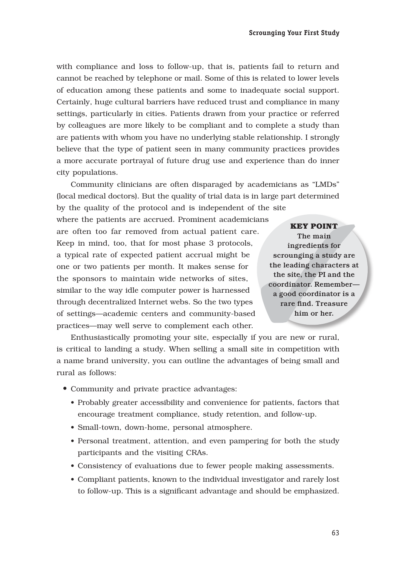with compliance and loss to follow-up, that is, patients fail to return and cannot be reached by telephone or mail. Some of this is related to lower levels of education among these patients and some to inadequate social support. Certainly, huge cultural barriers have reduced trust and compliance in many settings, particularly in cities. Patients drawn from your practice or referred by colleagues are more likely to be compliant and to complete a study than are patients with whom you have no underlying stable relationship. I strongly believe that the type of patient seen in many community practices provides a more accurate portrayal of future drug use and experience than do inner city populations.

Community clinicians are often disparaged by academicians as "LMDs" (local medical doctors). But the quality of trial data is in large part determined by the quality of the protocol and is independent of the site where the patients are accrued. Prominent academicians are often too far removed from actual patient care. Keep in mind, too, that for most phase 3 protocols, a typical rate of expected patient accrual might be one or two patients per month. It makes sense for the sponsors to maintain wide networks of sites, similar to the way idle computer power is harnessed through decentralized Internet webs. So the two types of settings—academic centers and community-based practices—may well serve to complement each other. **KEY POINT** The main

ingredients for scrounging a study are the leading characters at the site, the PI and the coordinator. Remember a good coordinator is a rare find. Treasure him or her.

Enthusiastically promoting your site, especially if you are new or rural, is critical to landing a study. When selling a small site in competition with a name brand university, you can outline the advantages of being small and rural as follows:

- Community and private practice advantages:
	- • Probably greater accessibility and convenience for patients, factors that encourage treatment compliance, study retention, and follow-up.
	- Small-town, down-home, personal atmosphere.
	- Personal treatment, attention, and even pampering for both the study participants and the visiting CRAs.
	- • Consistency of evaluations due to fewer people making assessments.
	- Compliant patients, known to the individual investigator and rarely lost to follow-up. This is a significant advantage and should be emphasized.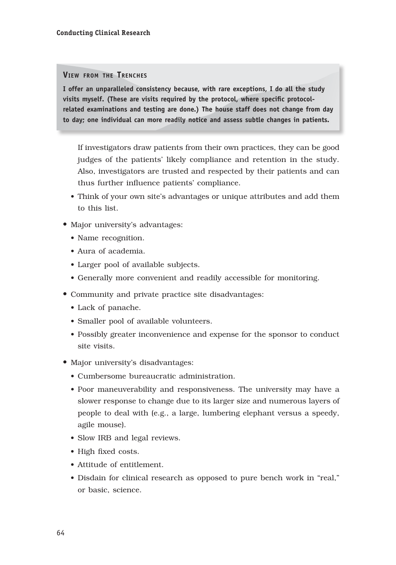#### **View from the Trenches**

**I offer an unparalleled consistency because, with rare exceptions, I do all the study visits myself. (These are visits required by the protocol, where specific protocolrelated examinations and testing are done.) The house staff does not change from day to day; one individual can more readily notice and assess subtle changes in patients.** 

If investigators draw patients from their own practices, they can be good judges of the patients' likely compliance and retention in the study. Also, investigators are trusted and respected by their patients and can thus further influence patients' compliance.

- Think of your own site's advantages or unique attributes and add them to this list.
- Major university's advantages:
	- Name recognition.
	- • Aura of academia.
	- Larger pool of available subjects.
	- • Generally more convenient and readily accessible for monitoring.
- Community and private practice site disadvantages:
	- Lack of panache.
	- • Smaller pool of available volunteers.
	- • Possibly greater inconvenience and expense for the sponsor to conduct site visits.
- Major university's disadvantages:
	- • Cumbersome bureaucratic administration.
	- Poor maneuverability and responsiveness. The university may have a slower response to change due to its larger size and numerous layers of people to deal with (e.g., a large, lumbering elephant versus a speedy, agile mouse).
	- Slow IRB and legal reviews.
	- • High fixed costs.
	- Attitude of entitlement.
	- • Disdain for clinical research as opposed to pure bench work in "real," or basic, science.